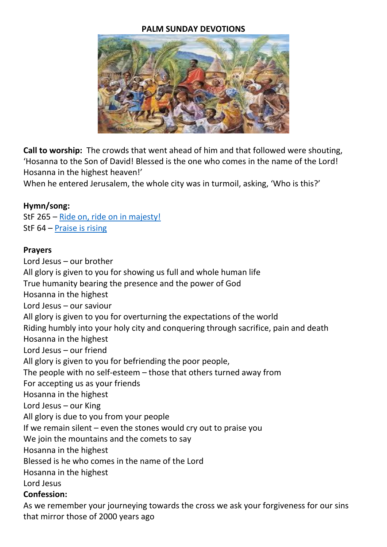#### **PALM SUNDAY DEVOTIONS**



**Call to worship:** The crowds that went ahead of him and that followed were shouting, 'Hosanna to the Son of David! Blessed is the one who comes in the name of the Lord! Hosanna in the highest heaven!'

When he entered Jerusalem, the whole city was in turmoil, asking, 'Who is this?'

#### **Hymn/song:**

StF 265 – [Ride on, ride on in majesty!](https://www.youtube.com/watch?v=g-qDQSjnzH8) StF 64 – Praise [is rising](https://www.youtube.com/watch?v=NSBR-r9B_94)

#### **Prayers**

Lord Jesus – our brother All glory is given to you for showing us full and whole human life True humanity bearing the presence and the power of God Hosanna in the highest Lord Jesus – our saviour All glory is given to you for overturning the expectations of the world Riding humbly into your holy city and conquering through sacrifice, pain and death Hosanna in the highest Lord Jesus – our friend All glory is given to you for befriending the poor people, The people with no self-esteem – those that others turned away from For accepting us as your friends Hosanna in the highest Lord Jesus – our King All glory is due to you from your people If we remain silent – even the stones would cry out to praise you We join the mountains and the comets to say Hosanna in the highest Blessed is he who comes in the name of the Lord Hosanna in the highest Lord Jesus **Confession:**

As we remember your journeying towards the cross we ask your forgiveness for our sins that mirror those of 2000 years ago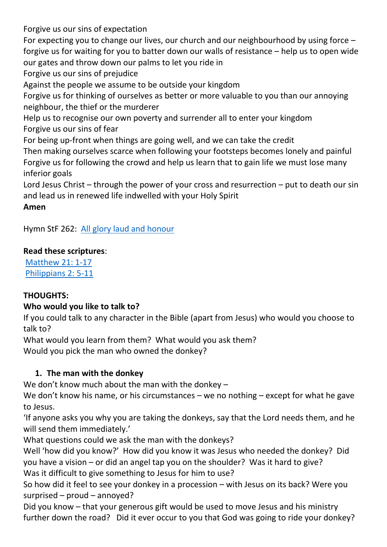Forgive us our sins of expectation For expecting you to change our lives, our church and our neighbourhood by using force – forgive us for waiting for you to batter down our walls of resistance – help us to open wide our gates and throw down our palms to let you ride in Forgive us our sins of prejudice Against the people we assume to be outside your kingdom Forgive us for thinking of ourselves as better or more valuable to you than our annoying neighbour, the thief or the murderer Help us to recognise our own poverty and surrender all to enter your kingdom Forgive us our sins of fear For being up-front when things are going well, and we can take the credit Then making ourselves scarce when following your footsteps becomes lonely and painful Forgive us for following the crowd and help us learn that to gain life we must lose many inferior goals Lord Jesus Christ – through the power of your cross and resurrection – put to death our sin and lead us in renewed life indwelled with your Holy Spirit

**Amen**

Hymn StF 262: [All glory laud and honour](https://www.youtube.com/watch?v=pHN8UAk6Yow)

### **Read these scriptures**:

[Matthew](https://www.biblegateway.com/passage/?search=Matthew+21%3A+1-17++&version=NIV) 21: 1-17 [Philippians 2: 5-11](https://www.biblegateway.com/passage/?search=Philippians+2%3A+5-11&version=NIV)

# **THOUGHTS:**

# **Who would you like to talk to?**

If you could talk to any character in the Bible (apart from Jesus) who would you choose to talk to?

What would you learn from them? What would you ask them? Would you pick the man who owned the donkey?

# **1. The man with the donkey**

We don't know much about the man with the donkey –

We don't know his name, or his circumstances – we no nothing – except for what he gave to Jesus.

'If anyone asks you why you are taking the donkeys, say that the Lord needs them, and he will send them immediately.'

What questions could we ask the man with the donkeys?

Well 'how did you know?' How did you know it was Jesus who needed the donkey? Did you have a vision – or did an angel tap you on the shoulder? Was it hard to give? Was it difficult to give something to Jesus for him to use?

So how did it feel to see your donkey in a procession – with Jesus on its back? Were you surprised – proud – annoyed?

Did you know – that your generous gift would be used to move Jesus and his ministry further down the road? Did it ever occur to you that God was going to ride your donkey?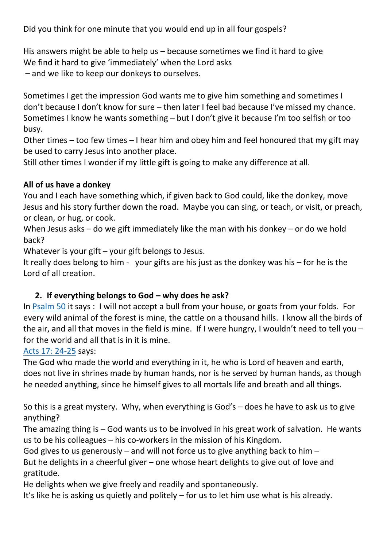Did you think for one minute that you would end up in all four gospels?

His answers might be able to help us – because sometimes we find it hard to give We find it hard to give 'immediately' when the Lord asks

– and we like to keep our donkeys to ourselves.

Sometimes I get the impression God wants me to give him something and sometimes I don't because I don't know for sure – then later I feel bad because I've missed my chance. Sometimes I know he wants something – but I don't give it because I'm too selfish or too busy.

Other times – too few times – I hear him and obey him and feel honoured that my gift may be used to carry Jesus into another place.

Still other times I wonder if my little gift is going to make any difference at all.

### **All of us have a donkey**

You and I each have something which, if given back to God could, like the donkey, move Jesus and his story further down the road. Maybe you can sing, or teach, or visit, or preach, or clean, or hug, or cook.

When Jesus asks – do we gift immediately like the man with his donkey – or do we hold back?

Whatever is your gift – your gift belongs to Jesus.

It really does belong to him - your gifts are his just as the donkey was his – for he is the Lord of all creation.

# **2. If everything belongs to God – why does he ask?**

In [Psalm 50](https://www.biblegateway.com/passage/?search=psalm+50&version=NIV) it says : I will not accept a bull from your house, or goats from your folds. For every wild animal of the forest is mine, the cattle on a thousand hills. I know all the birds of the air, and all that moves in the field is mine. If I were hungry, I wouldn't need to tell you – for the world and all that is in it is mine.

[Acts 17: 24-25](https://www.biblegateway.com/passage/?search=Acts+17%3A+24-25+&version=NIV) says:

The God who made the world and everything in it, he who is Lord of heaven and earth, does not live in shrines made by human hands, nor is he served by human hands, as though he needed anything, since he himself gives to all mortals life and breath and all things.

So this is a great mystery. Why, when everything is God's – does he have to ask us to give anything?

The amazing thing is – God wants us to be involved in his great work of salvation. He wants us to be his colleagues – his co-workers in the mission of his Kingdom.

God gives to us generously – and will not force us to give anything back to him –

But he delights in a cheerful giver – one whose heart delights to give out of love and gratitude.

He delights when we give freely and readily and spontaneously.

It's like he is asking us quietly and politely – for us to let him use what is his already.